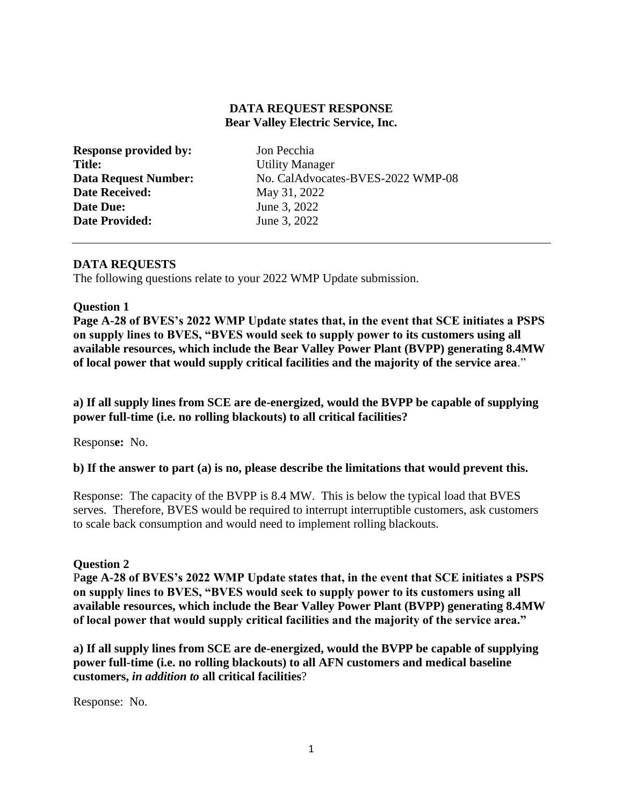## **DATA REQUEST RESPONSE Bear Valley Electric Service, Inc.**

| <b>Response provided by:</b> |
|------------------------------|
| <b>Title:</b>                |
| <b>Data Request Number:</b>  |
| <b>Date Received:</b>        |
| <b>Date Due:</b>             |
| <b>Date Provided:</b>        |

**Jon Pecchia Utility Manager** No. CalAdvocates-BVES-2022 WMP-08 **Date Received:** May 31, 2022 **June 3, 2022 June 3, 2022** 

## **DATA REQUESTS**

The following questions relate to your 2022 WMP Update submission.

#### **Question 1**

**Page A-28 of BVES's 2022 WMP Update states that, in the event that SCE initiates a PSPS on supply lines to BVES, "BVES would seek to supply power to its customers using all available resources, which include the Bear Valley Power Plant (BVPP) generating 8.4MW of local power that would supply critical facilities and the majority of the service area**."

#### **a) If all supply lines from SCE are de-energized, would the BVPP be capable of supplying power full-time (i.e. no rolling blackouts) to all critical facilities?**

Respons**e:** No.

#### **b) If the answer to part (a) is no, please describe the limitations that would prevent this.**

Response: The capacity of the BVPP is 8.4 MW. This is below the typical load that BVES serves. Therefore, BVES would be required to interrupt interruptible customers, ask customers to scale back consumption and would need to implement rolling blackouts.

#### **Question 2**

P**age A-28 of BVES's 2022 WMP Update states that, in the event that SCE initiates a PSPS on supply lines to BVES, "BVES would seek to supply power to its customers using all available resources, which include the Bear Valley Power Plant (BVPP) generating 8.4MW of local power that would supply critical facilities and the majority of the service area."** 

**a) If all supply lines from SCE are de-energized, would the BVPP be capable of supplying power full-time (i.e. no rolling blackouts) to all AFN customers and medical baseline customers,** *in addition to* **all critical facilities**?

Response: No.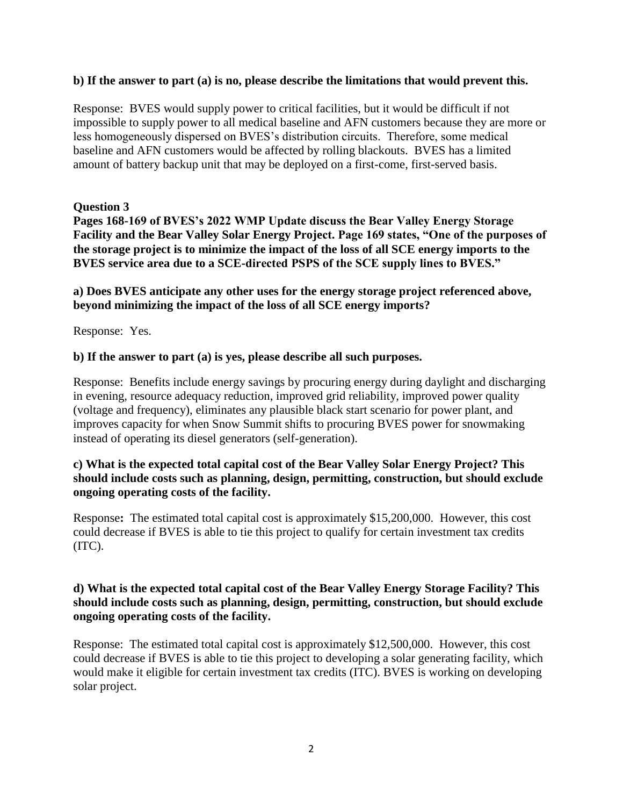#### **b) If the answer to part (a) is no, please describe the limitations that would prevent this.**

Response: BVES would supply power to critical facilities, but it would be difficult if not impossible to supply power to all medical baseline and AFN customers because they are more or less homogeneously dispersed on BVES's distribution circuits. Therefore, some medical baseline and AFN customers would be affected by rolling blackouts. BVES has a limited amount of battery backup unit that may be deployed on a first-come, first-served basis.

#### **Question 3**

**Pages 168-169 of BVES's 2022 WMP Update discuss the Bear Valley Energy Storage Facility and the Bear Valley Solar Energy Project. Page 169 states, "One of the purposes of the storage project is to minimize the impact of the loss of all SCE energy imports to the BVES service area due to a SCE-directed PSPS of the SCE supply lines to BVES."** 

**a) Does BVES anticipate any other uses for the energy storage project referenced above, beyond minimizing the impact of the loss of all SCE energy imports?** 

Response: Yes.

#### **b) If the answer to part (a) is yes, please describe all such purposes.**

Response: Benefits include energy savings by procuring energy during daylight and discharging in evening, resource adequacy reduction, improved grid reliability, improved power quality (voltage and frequency), eliminates any plausible black start scenario for power plant, and improves capacity for when Snow Summit shifts to procuring BVES power for snowmaking instead of operating its diesel generators (self-generation).

## **c) What is the expected total capital cost of the Bear Valley Solar Energy Project? This should include costs such as planning, design, permitting, construction, but should exclude ongoing operating costs of the facility.**

Response**:** The estimated total capital cost is approximately \$15,200,000. However, this cost could decrease if BVES is able to tie this project to qualify for certain investment tax credits (ITC).

## **d) What is the expected total capital cost of the Bear Valley Energy Storage Facility? This should include costs such as planning, design, permitting, construction, but should exclude ongoing operating costs of the facility.**

Response: The estimated total capital cost is approximately \$12,500,000. However, this cost could decrease if BVES is able to tie this project to developing a solar generating facility, which would make it eligible for certain investment tax credits (ITC). BVES is working on developing solar project.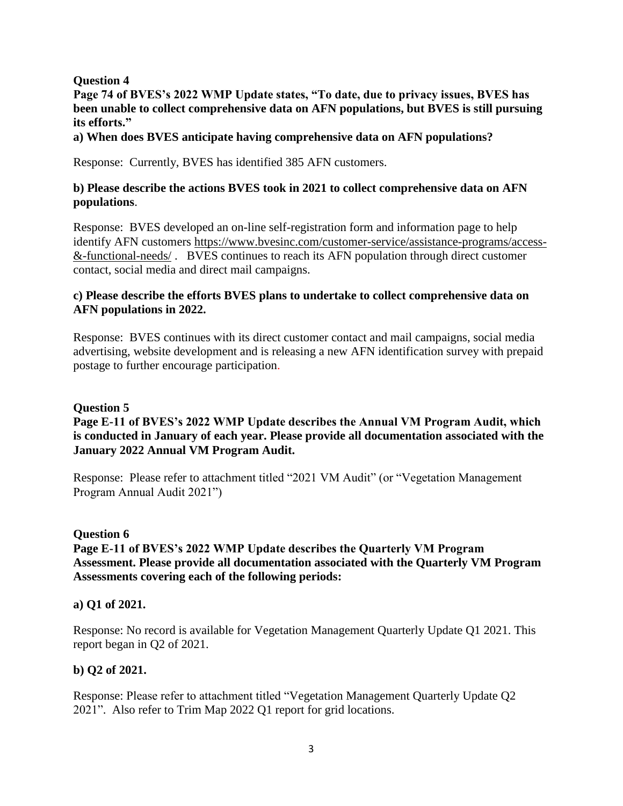## **Question 4**

**Page 74 of BVES's 2022 WMP Update states, "To date, due to privacy issues, BVES has been unable to collect comprehensive data on AFN populations, but BVES is still pursuing its efforts."** 

#### **a) When does BVES anticipate having comprehensive data on AFN populations?**

Response: Currently, BVES has identified 385 AFN customers.

#### **b) Please describe the actions BVES took in 2021 to collect comprehensive data on AFN populations**.

Response: BVES developed an on-line self-registration form and information page to help identify AFN customers [https://www.bvesinc.com/customer-service/assistance-programs/access-](https://www.bvesinc.com/customer-service/assistance-programs/access-&-functional-needs/) [&-functional-needs/](https://www.bvesinc.com/customer-service/assistance-programs/access-&-functional-needs/) . BVES continues to reach its AFN population through direct customer contact, social media and direct mail campaigns.

## **c) Please describe the efforts BVES plans to undertake to collect comprehensive data on AFN populations in 2022.**

Response: BVES continues with its direct customer contact and mail campaigns, social media advertising, website development and is releasing a new AFN identification survey with prepaid postage to further encourage participation.

#### **Question 5**

# **Page E-11 of BVES's 2022 WMP Update describes the Annual VM Program Audit, which is conducted in January of each year. Please provide all documentation associated with the January 2022 Annual VM Program Audit.**

Response: Please refer to attachment titled "2021 VM Audit" (or "Vegetation Management Program Annual Audit 2021")

#### **Question 6**

# **Page E-11 of BVES's 2022 WMP Update describes the Quarterly VM Program Assessment. Please provide all documentation associated with the Quarterly VM Program Assessments covering each of the following periods:**

#### **a) Q1 of 2021.**

Response: No record is available for Vegetation Management Quarterly Update Q1 2021. This report began in Q2 of 2021.

#### **b) Q2 of 2021.**

Response: Please refer to attachment titled "Vegetation Management Quarterly Update Q2 2021". Also refer to Trim Map 2022 Q1 report for grid locations.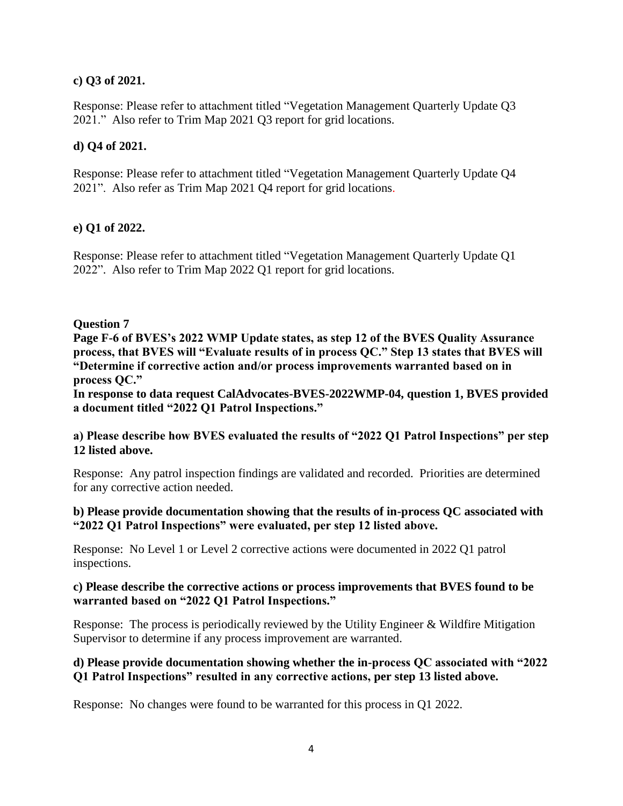# **c) Q3 of 2021.**

Response: Please refer to attachment titled "Vegetation Management Quarterly Update Q3 2021." Also refer to Trim Map 2021 Q3 report for grid locations.

# **d) Q4 of 2021.**

Response: Please refer to attachment titled "Vegetation Management Quarterly Update Q4 2021". Also refer as Trim Map 2021 Q4 report for grid locations.

# **e) Q1 of 2022.**

Response: Please refer to attachment titled "Vegetation Management Quarterly Update Q1 2022". Also refer to Trim Map 2022 Q1 report for grid locations.

# **Question 7**

**Page F-6 of BVES's 2022 WMP Update states, as step 12 of the BVES Quality Assurance process, that BVES will "Evaluate results of in process QC." Step 13 states that BVES will "Determine if corrective action and/or process improvements warranted based on in process QC."** 

**In response to data request CalAdvocates-BVES-2022WMP-04, question 1, BVES provided a document titled "2022 Q1 Patrol Inspections."** 

## **a) Please describe how BVES evaluated the results of "2022 Q1 Patrol Inspections" per step 12 listed above.**

Response: Any patrol inspection findings are validated and recorded. Priorities are determined for any corrective action needed.

## **b) Please provide documentation showing that the results of in-process QC associated with "2022 Q1 Patrol Inspections" were evaluated, per step 12 listed above.**

Response: No Level 1 or Level 2 corrective actions were documented in 2022 Q1 patrol inspections.

## **c) Please describe the corrective actions or process improvements that BVES found to be warranted based on "2022 Q1 Patrol Inspections."**

Response: The process is periodically reviewed by the Utility Engineer & Wildfire Mitigation Supervisor to determine if any process improvement are warranted.

## **d) Please provide documentation showing whether the in-process QC associated with "2022 Q1 Patrol Inspections" resulted in any corrective actions, per step 13 listed above.**

Response: No changes were found to be warranted for this process in Q1 2022.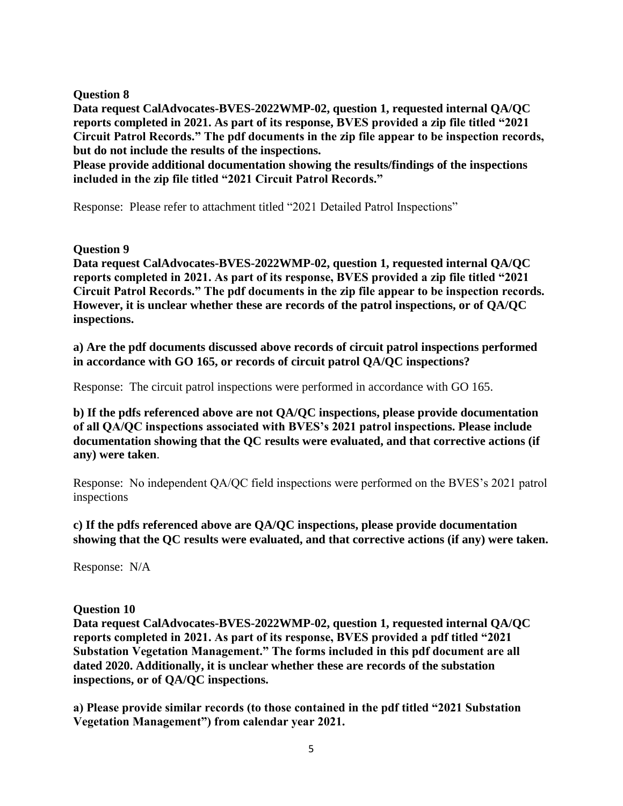**Question 8** 

**Data request CalAdvocates-BVES-2022WMP-02, question 1, requested internal QA/QC reports completed in 2021. As part of its response, BVES provided a zip file titled "2021 Circuit Patrol Records." The pdf documents in the zip file appear to be inspection records, but do not include the results of the inspections.** 

**Please provide additional documentation showing the results/findings of the inspections included in the zip file titled "2021 Circuit Patrol Records."** 

Response: Please refer to attachment titled "2021 Detailed Patrol Inspections"

**Question 9** 

**Data request CalAdvocates-BVES-2022WMP-02, question 1, requested internal QA/QC reports completed in 2021. As part of its response, BVES provided a zip file titled "2021 Circuit Patrol Records." The pdf documents in the zip file appear to be inspection records. However, it is unclear whether these are records of the patrol inspections, or of QA/QC inspections.** 

**a) Are the pdf documents discussed above records of circuit patrol inspections performed in accordance with GO 165, or records of circuit patrol QA/QC inspections?** 

Response: The circuit patrol inspections were performed in accordance with GO 165.

**b) If the pdfs referenced above are not QA/QC inspections, please provide documentation of all QA/QC inspections associated with BVES's 2021 patrol inspections. Please include documentation showing that the QC results were evaluated, and that corrective actions (if any) were taken**.

Response: No independent QA/QC field inspections were performed on the BVES's 2021 patrol inspections

**c) If the pdfs referenced above are QA/QC inspections, please provide documentation showing that the QC results were evaluated, and that corrective actions (if any) were taken.** 

Response: N/A

**Question 10** 

**Data request CalAdvocates-BVES-2022WMP-02, question 1, requested internal QA/QC reports completed in 2021. As part of its response, BVES provided a pdf titled "2021 Substation Vegetation Management." The forms included in this pdf document are all dated 2020. Additionally, it is unclear whether these are records of the substation inspections, or of QA/QC inspections.** 

**a) Please provide similar records (to those contained in the pdf titled "2021 Substation Vegetation Management") from calendar year 2021.**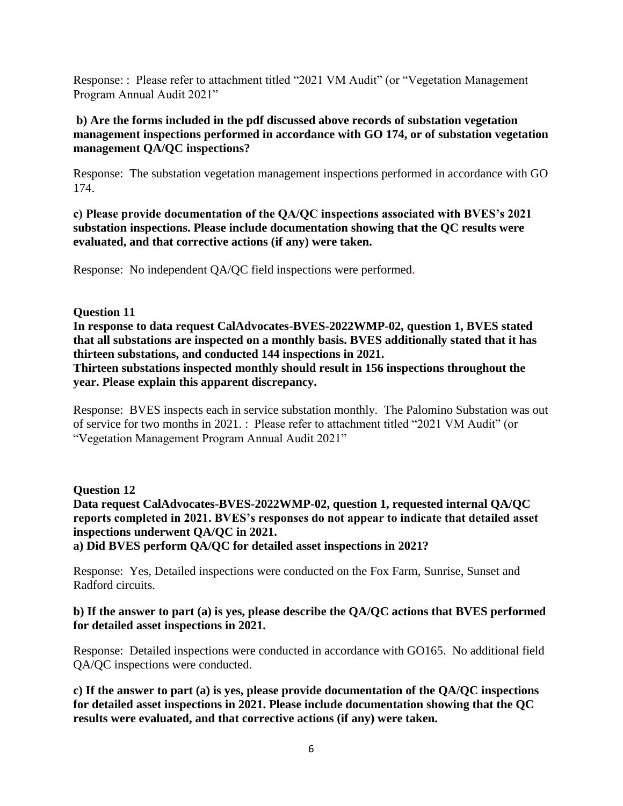Response: : Please refer to attachment titled "2021 VM Audit" (or "Vegetation Management Program Annual Audit 2021"

# **b) Are the forms included in the pdf discussed above records of substation vegetation management inspections performed in accordance with GO 174, or of substation vegetation management QA/QC inspections?**

Response: The substation vegetation management inspections performed in accordance with GO 174.

**c) Please provide documentation of the QA/QC inspections associated with BVES's 2021 substation inspections. Please include documentation showing that the QC results were evaluated, and that corrective actions (if any) were taken.** 

Response: No independent QA/QC field inspections were performed.

## **Question 11**

**In response to data request CalAdvocates-BVES-2022WMP-02, question 1, BVES stated that all substations are inspected on a monthly basis. BVES additionally stated that it has thirteen substations, and conducted 144 inspections in 2021.** 

**Thirteen substations inspected monthly should result in 156 inspections throughout the year. Please explain this apparent discrepancy.** 

Response: BVES inspects each in service substation monthly. The Palomino Substation was out of service for two months in 2021. : Please refer to attachment titled "2021 VM Audit" (or "Vegetation Management Program Annual Audit 2021"

# **Question 12**

**Data request CalAdvocates-BVES-2022WMP-02, question 1, requested internal QA/QC reports completed in 2021. BVES's responses do not appear to indicate that detailed asset inspections underwent QA/QC in 2021.** 

**a) Did BVES perform QA/QC for detailed asset inspections in 2021?** 

Response: Yes, Detailed inspections were conducted on the Fox Farm, Sunrise, Sunset and Radford circuits.

## **b) If the answer to part (a) is yes, please describe the QA/QC actions that BVES performed for detailed asset inspections in 2021.**

Response: Detailed inspections were conducted in accordance with GO165. No additional field QA/QC inspections were conducted.

**c) If the answer to part (a) is yes, please provide documentation of the QA/QC inspections for detailed asset inspections in 2021. Please include documentation showing that the QC results were evaluated, and that corrective actions (if any) were taken.**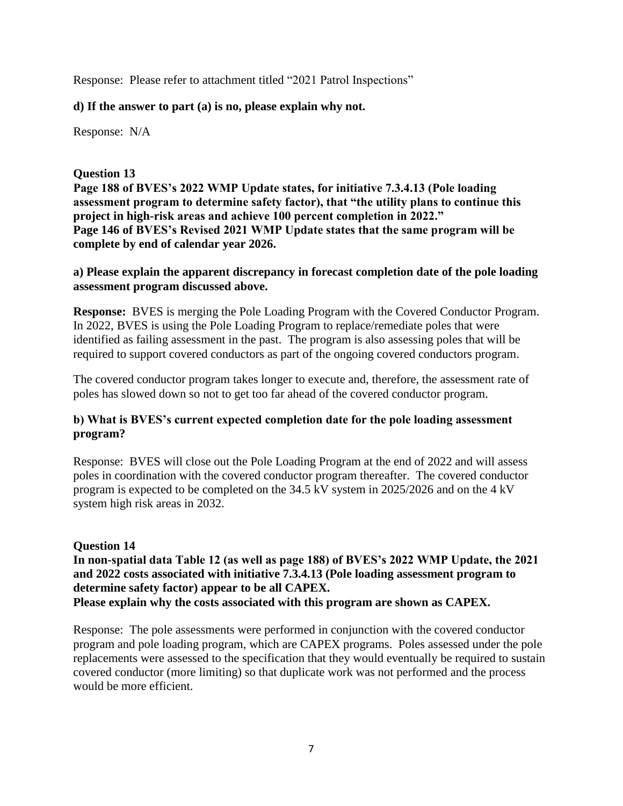Response: Please refer to attachment titled "2021 Patrol Inspections"

## **d) If the answer to part (a) is no, please explain why not.**

Response: N/A

## **Question 13**

**Page 188 of BVES's 2022 WMP Update states, for initiative 7.3.4.13 (Pole loading assessment program to determine safety factor), that "the utility plans to continue this project in high-risk areas and achieve 100 percent completion in 2022." Page 146 of BVES's Revised 2021 WMP Update states that the same program will be complete by end of calendar year 2026.** 

## **a) Please explain the apparent discrepancy in forecast completion date of the pole loading assessment program discussed above.**

**Response:** BVES is merging the Pole Loading Program with the Covered Conductor Program. In 2022, BVES is using the Pole Loading Program to replace/remediate poles that were identified as failing assessment in the past. The program is also assessing poles that will be required to support covered conductors as part of the ongoing covered conductors program.

The covered conductor program takes longer to execute and, therefore, the assessment rate of poles has slowed down so not to get too far ahead of the covered conductor program.

# **b) What is BVES's current expected completion date for the pole loading assessment program?**

Response: BVES will close out the Pole Loading Program at the end of 2022 and will assess poles in coordination with the covered conductor program thereafter. The covered conductor program is expected to be completed on the 34.5 kV system in 2025/2026 and on the 4 kV system high risk areas in 2032.

# **Question 14**

**In non-spatial data Table 12 (as well as page 188) of BVES's 2022 WMP Update, the 2021 and 2022 costs associated with initiative 7.3.4.13 (Pole loading assessment program to determine safety factor) appear to be all CAPEX. Please explain why the costs associated with this program are shown as CAPEX.** 

Response: The pole assessments were performed in conjunction with the covered conductor program and pole loading program, which are CAPEX programs. Poles assessed under the pole replacements were assessed to the specification that they would eventually be required to sustain covered conductor (more limiting) so that duplicate work was not performed and the process would be more efficient.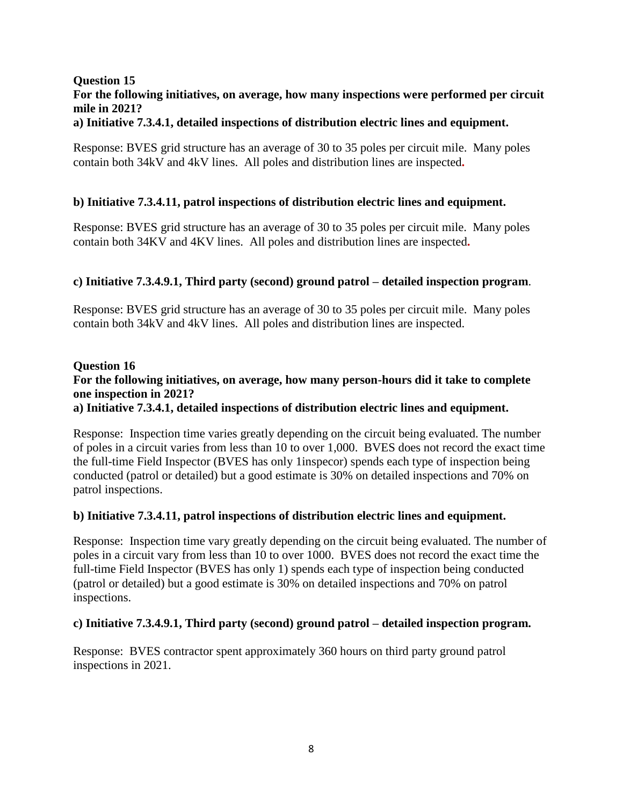# **Question 15 For the following initiatives, on average, how many inspections were performed per circuit mile in 2021?**

## **a) Initiative 7.3.4.1, detailed inspections of distribution electric lines and equipment.**

Response: BVES grid structure has an average of 30 to 35 poles per circuit mile. Many poles contain both 34kV and 4kV lines. All poles and distribution lines are inspected**.**

## **b) Initiative 7.3.4.11, patrol inspections of distribution electric lines and equipment.**

Response: BVES grid structure has an average of 30 to 35 poles per circuit mile. Many poles contain both 34KV and 4KV lines. All poles and distribution lines are inspected**.**

## **c) Initiative 7.3.4.9.1, Third party (second) ground patrol – detailed inspection program**.

Response: BVES grid structure has an average of 30 to 35 poles per circuit mile. Many poles contain both 34kV and 4kV lines. All poles and distribution lines are inspected.

# **Question 16 For the following initiatives, on average, how many person-hours did it take to complete one inspection in 2021?**

## **a) Initiative 7.3.4.1, detailed inspections of distribution electric lines and equipment.**

Response: Inspection time varies greatly depending on the circuit being evaluated. The number of poles in a circuit varies from less than 10 to over 1,000. BVES does not record the exact time the full-time Field Inspector (BVES has only 1inspecor) spends each type of inspection being conducted (patrol or detailed) but a good estimate is 30% on detailed inspections and 70% on patrol inspections.

#### **b) Initiative 7.3.4.11, patrol inspections of distribution electric lines and equipment.**

Response: Inspection time vary greatly depending on the circuit being evaluated. The number of poles in a circuit vary from less than 10 to over 1000. BVES does not record the exact time the full-time Field Inspector (BVES has only 1) spends each type of inspection being conducted (patrol or detailed) but a good estimate is 30% on detailed inspections and 70% on patrol inspections.

#### **c) Initiative 7.3.4.9.1, Third party (second) ground patrol – detailed inspection program.**

Response: BVES contractor spent approximately 360 hours on third party ground patrol inspections in 2021.